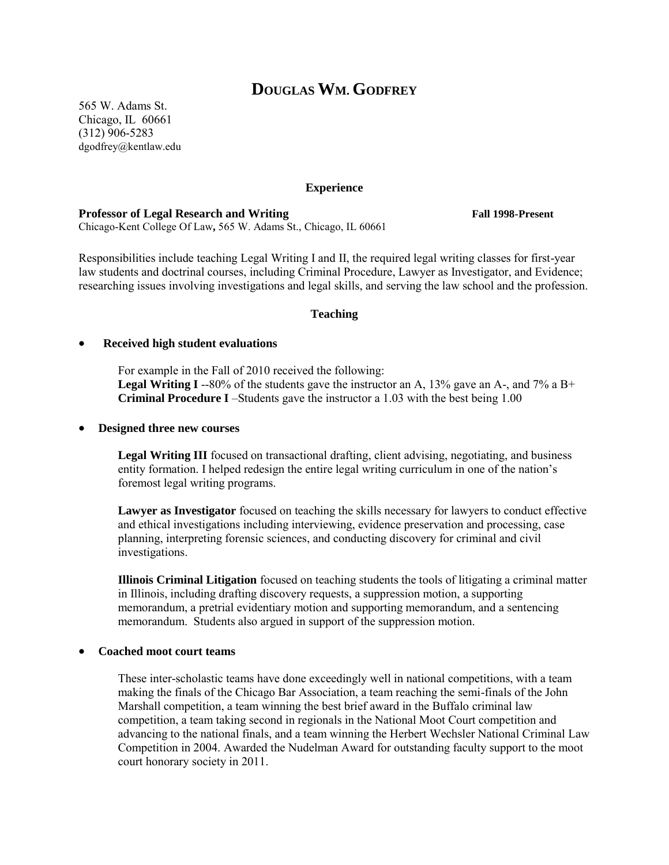# **DOUGLAS WM. GODFREY**

565 W. Adams St. Chicago, IL 60661 (312) 906-5283 dgodfrey@kentlaw.edu

#### **Experience**

#### **Professor of Legal Research and Writing Fall 1998-Present**

Chicago-Kent College Of Law**,** 565 W. Adams St., Chicago, IL 60661

Responsibilities include teaching Legal Writing I and II, the required legal writing classes for first-year law students and doctrinal courses, including Criminal Procedure, Lawyer as Investigator, and Evidence; researching issues involving investigations and legal skills, and serving the law school and the profession.

#### **Teaching**

#### **Received high student evaluations**

For example in the Fall of 2010 received the following: **Legal Writing I** --80% of the students gave the instructor an A, 13% gave an A-, and 7% a B+ **Criminal Procedure I** –Students gave the instructor a 1.03 with the best being 1.00

#### **Designed three new courses**

**Legal Writing III** focused on transactional drafting, client advising, negotiating, and business entity formation. I helped redesign the entire legal writing curriculum in one of the nation's foremost legal writing programs.

**Lawyer as Investigator** focused on teaching the skills necessary for lawyers to conduct effective and ethical investigations including interviewing, evidence preservation and processing, case planning, interpreting forensic sciences, and conducting discovery for criminal and civil investigations.

**Illinois Criminal Litigation** focused on teaching students the tools of litigating a criminal matter in Illinois, including drafting discovery requests, a suppression motion, a supporting memorandum, a pretrial evidentiary motion and supporting memorandum, and a sentencing memorandum. Students also argued in support of the suppression motion.

#### **Coached moot court teams**

These inter-scholastic teams have done exceedingly well in national competitions, with a team making the finals of the Chicago Bar Association, a team reaching the semi-finals of the John Marshall competition, a team winning the best brief award in the Buffalo criminal law competition, a team taking second in regionals in the National Moot Court competition and advancing to the national finals, and a team winning the Herbert Wechsler National Criminal Law Competition in 2004. Awarded the Nudelman Award for outstanding faculty support to the moot court honorary society in 2011.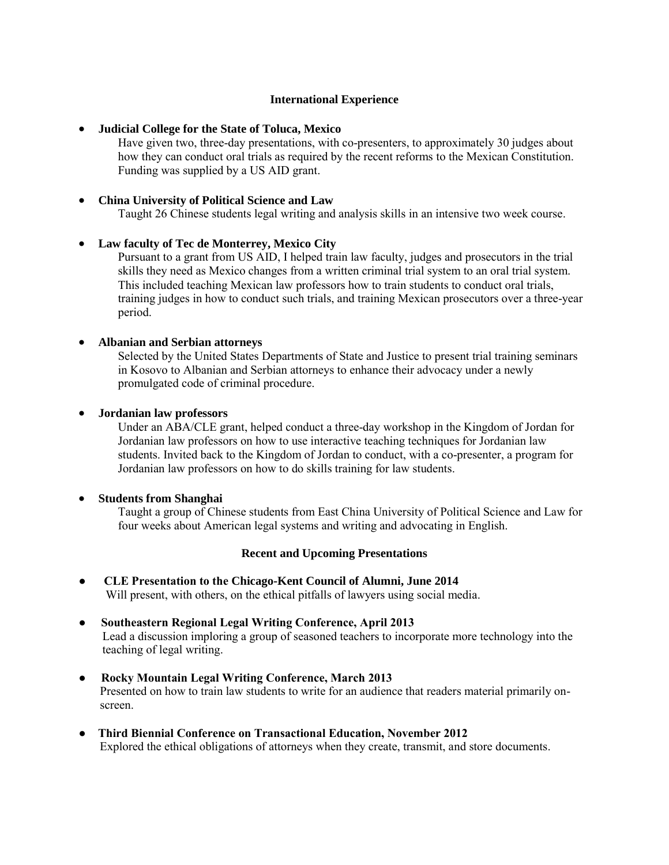## **International Experience**

#### **Judicial College for the State of Toluca, Mexico**

Have given two, three-day presentations, with co-presenters, to approximately 30 judges about how they can conduct oral trials as required by the recent reforms to the Mexican Constitution. Funding was supplied by a US AID grant.

#### **China University of Political Science and Law**

Taught 26 Chinese students legal writing and analysis skills in an intensive two week course.

## **Law faculty of Tec de Monterrey, Mexico City**

Pursuant to a grant from US AID, I helped train law faculty, judges and prosecutors in the trial skills they need as Mexico changes from a written criminal trial system to an oral trial system. This included teaching Mexican law professors how to train students to conduct oral trials, training judges in how to conduct such trials, and training Mexican prosecutors over a three-year period.

## **Albanian and Serbian attorneys**

Selected by the United States Departments of State and Justice to present trial training seminars in Kosovo to Albanian and Serbian attorneys to enhance their advocacy under a newly promulgated code of criminal procedure.

## **Jordanian law professors**

Under an ABA/CLE grant, helped conduct a three-day workshop in the Kingdom of Jordan for Jordanian law professors on how to use interactive teaching techniques for Jordanian law students. Invited back to the Kingdom of Jordan to conduct, with a co-presenter, a program for Jordanian law professors on how to do skills training for law students.

#### **Students from Shanghai**

Taught a group of Chinese students from East China University of Political Science and Law for four weeks about American legal systems and writing and advocating in English.

#### **Recent and Upcoming Presentations**

- **CLE Presentation to the Chicago-Kent Council of Alumni, June 2014**  Will present, with others, on the ethical pitfalls of lawyers using social media.
- **Southeastern Regional Legal Writing Conference, April 2013** Lead a discussion imploring a group of seasoned teachers to incorporate more technology into the teaching of legal writing.
- **Rocky Mountain Legal Writing Conference, March 2013** Presented on how to train law students to write for an audience that readers material primarily onscreen.
- **Third Biennial Conference on Transactional Education, November 2012** Explored the ethical obligations of attorneys when they create, transmit, and store documents.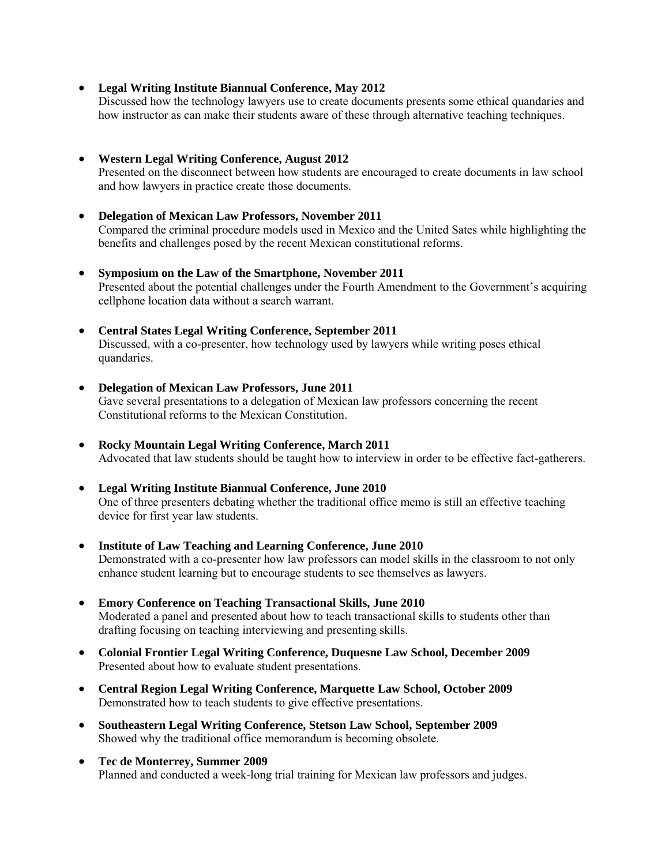**Legal Writing Institute Biannual Conference, May 2012** 

Discussed how the technology lawyers use to create documents presents some ethical quandaries and how instructor as can make their students aware of these through alternative teaching techniques.

**Western Legal Writing Conference, August 2012** 

Presented on the disconnect between how students are encouraged to create documents in law school and how lawyers in practice create those documents.

- **Delegation of Mexican Law Professors, November 2011**  Compared the criminal procedure models used in Mexico and the United Sates while highlighting the benefits and challenges posed by the recent Mexican constitutional reforms.
- **Symposium on the Law of the Smartphone, November 2011**  Presented about the potential challenges under the Fourth Amendment to the Government's acquiring cellphone location data without a search warrant.
- **Central States Legal Writing Conference, September 2011**  Discussed, with a co-presenter, how technology used by lawyers while writing poses ethical quandaries.
- **Delegation of Mexican Law Professors, June 2011**  Gave several presentations to a delegation of Mexican law professors concerning the recent Constitutional reforms to the Mexican Constitution.
- **Rocky Mountain Legal Writing Conference, March 2011**  Advocated that law students should be taught how to interview in order to be effective fact-gatherers.
- **Legal Writing Institute Biannual Conference, June 2010**  One of three presenters debating whether the traditional office memo is still an effective teaching device for first year law students.
- **Institute of Law Teaching and Learning Conference, June 2010**  Demonstrated with a co-presenter how law professors can model skills in the classroom to not only enhance student learning but to encourage students to see themselves as lawyers.
- **Emory Conference on Teaching Transactional Skills, June 2010**  Moderated a panel and presented about how to teach transactional skills to students other than drafting focusing on teaching interviewing and presenting skills.
- **Colonial Frontier Legal Writing Conference, Duquesne Law School, December 2009**  Presented about how to evaluate student presentations.
- **Central Region Legal Writing Conference, Marquette Law School, October 2009** Demonstrated how to teach students to give effective presentations.
- **Southeastern Legal Writing Conference, Stetson Law School, September 2009** Showed why the traditional office memorandum is becoming obsolete.
- **Tec de Monterrey, Summer 2009** Planned and conducted a week-long trial training for Mexican law professors and judges.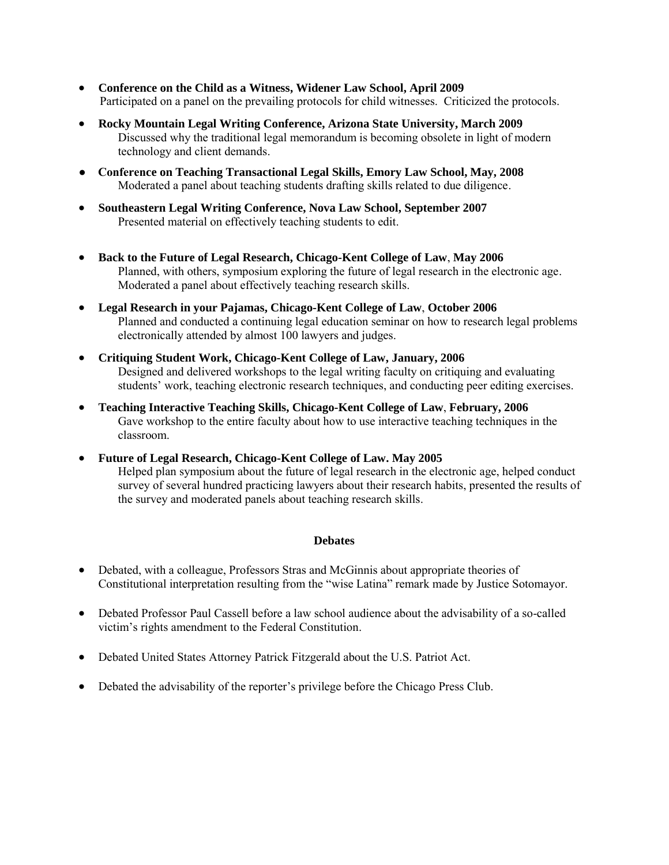- **Conference on the Child as a Witness, Widener Law School, April 2009** Participated on a panel on the prevailing protocols for child witnesses. Criticized the protocols.
- **Rocky Mountain Legal Writing Conference, Arizona State University, March 2009** Discussed why the traditional legal memorandum is becoming obsolete in light of modern technology and client demands.
- **Conference on Teaching Transactional Legal Skills, Emory Law School, May, 2008**  Moderated a panel about teaching students drafting skills related to due diligence.
- **Southeastern Legal Writing Conference, Nova Law School, September 2007** Presented material on effectively teaching students to edit.
- **Back to the Future of Legal Research, Chicago-Kent College of Law**, **May 2006** Planned, with others, symposium exploring the future of legal research in the electronic age. Moderated a panel about effectively teaching research skills.
- **Legal Research in your Pajamas, Chicago-Kent College of Law**, **October 2006** Planned and conducted a continuing legal education seminar on how to research legal problems electronically attended by almost 100 lawyers and judges.
- **Critiquing Student Work, Chicago-Kent College of Law, January, 2006** Designed and delivered workshops to the legal writing faculty on critiquing and evaluating students' work, teaching electronic research techniques, and conducting peer editing exercises.
- **Teaching Interactive Teaching Skills, Chicago-Kent College of Law**, **February, 2006**  Gave workshop to the entire faculty about how to use interactive teaching techniques in the classroom.
- **Future of Legal Research, Chicago-Kent College of Law. May 2005**  Helped plan symposium about the future of legal research in the electronic age, helped conduct survey of several hundred practicing lawyers about their research habits, presented the results of the survey and moderated panels about teaching research skills.

## **Debates**

- Debated, with a colleague, Professors Stras and McGinnis about appropriate theories of Constitutional interpretation resulting from the "wise Latina" remark made by Justice Sotomayor.
- Debated Professor Paul Cassell before a law school audience about the advisability of a so-called victim's rights amendment to the Federal Constitution.
- Debated United States Attorney Patrick Fitzgerald about the U.S. Patriot Act.
- Debated the advisability of the reporter's privilege before the Chicago Press Club.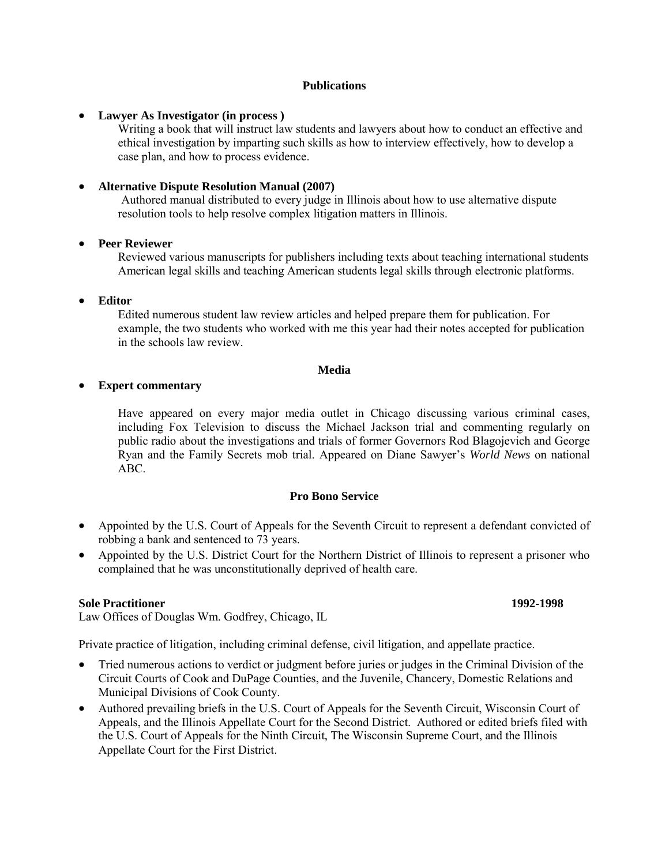#### **Publications**

**Lawyer As Investigator (in process )** 

Writing a book that will instruct law students and lawyers about how to conduct an effective and ethical investigation by imparting such skills as how to interview effectively, how to develop a case plan, and how to process evidence.

## **Alternative Dispute Resolution Manual (2007)**

Authored manual distributed to every judge in Illinois about how to use alternative dispute resolution tools to help resolve complex litigation matters in Illinois.

#### **Peer Reviewer**

Reviewed various manuscripts for publishers including texts about teaching international students American legal skills and teaching American students legal skills through electronic platforms.

**Editor** 

Edited numerous student law review articles and helped prepare them for publication. For example, the two students who worked with me this year had their notes accepted for publication in the schools law review.

#### **Media**

#### **Expert commentary**

Have appeared on every major media outlet in Chicago discussing various criminal cases, including Fox Television to discuss the Michael Jackson trial and commenting regularly on public radio about the investigations and trials of former Governors Rod Blagojevich and George Ryan and the Family Secrets mob trial. Appeared on Diane Sawyer's *World News* on national ABC.

## **Pro Bono Service**

- Appointed by the U.S. Court of Appeals for the Seventh Circuit to represent a defendant convicted of robbing a bank and sentenced to 73 years.
- Appointed by the U.S. District Court for the Northern District of Illinois to represent a prisoner who complained that he was unconstitutionally deprived of health care.

#### **Sole Practitioner 1992-1998**

Law Offices of Douglas Wm. Godfrey, Chicago, IL

Private practice of litigation, including criminal defense, civil litigation, and appellate practice.

- Tried numerous actions to verdict or judgment before juries or judges in the Criminal Division of the Circuit Courts of Cook and DuPage Counties, and the Juvenile, Chancery, Domestic Relations and Municipal Divisions of Cook County.
- Authored prevailing briefs in the U.S. Court of Appeals for the Seventh Circuit, Wisconsin Court of Appeals, and the Illinois Appellate Court for the Second District. Authored or edited briefs filed with the U.S. Court of Appeals for the Ninth Circuit, The Wisconsin Supreme Court, and the Illinois Appellate Court for the First District.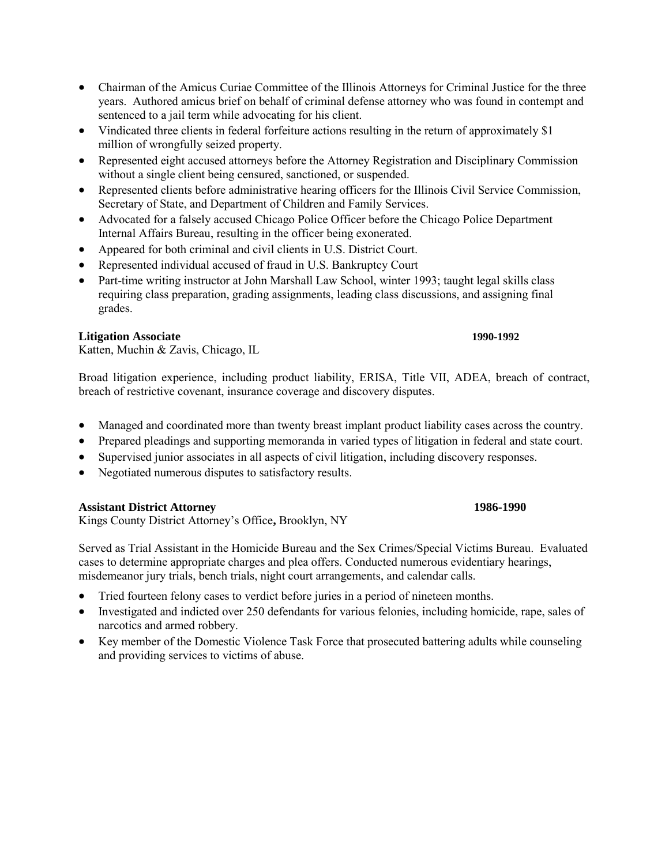- Chairman of the Amicus Curiae Committee of the Illinois Attorneys for Criminal Justice for the three years. Authored amicus brief on behalf of criminal defense attorney who was found in contempt and sentenced to a jail term while advocating for his client.
- Vindicated three clients in federal forfeiture actions resulting in the return of approximately \$1 million of wrongfully seized property.
- Represented eight accused attorneys before the Attorney Registration and Disciplinary Commission without a single client being censured, sanctioned, or suspended.
- Represented clients before administrative hearing officers for the Illinois Civil Service Commission, Secretary of State, and Department of Children and Family Services.
- Advocated for a falsely accused Chicago Police Officer before the Chicago Police Department Internal Affairs Bureau, resulting in the officer being exonerated.
- Appeared for both criminal and civil clients in U.S. District Court.
- Represented individual accused of fraud in U.S. Bankruptcy Court
- Part-time writing instructor at John Marshall Law School, winter 1993; taught legal skills class requiring class preparation, grading assignments, leading class discussions, and assigning final grades.

## **Litigation Associate 1990-1992**

Katten, Muchin & Zavis, Chicago, IL

Broad litigation experience, including product liability, ERISA, Title VII, ADEA, breach of contract, breach of restrictive covenant, insurance coverage and discovery disputes.

- Managed and coordinated more than twenty breast implant product liability cases across the country.
- Prepared pleadings and supporting memoranda in varied types of litigation in federal and state court.
- Supervised junior associates in all aspects of civil litigation, including discovery responses.
- Negotiated numerous disputes to satisfactory results.

#### **Assistant District Attorney 1986-1990**

Kings County District Attorney's Office**,** Brooklyn, NY

Served as Trial Assistant in the Homicide Bureau and the Sex Crimes/Special Victims Bureau. Evaluated cases to determine appropriate charges and plea offers. Conducted numerous evidentiary hearings, misdemeanor jury trials, bench trials, night court arrangements, and calendar calls.

- Tried fourteen felony cases to verdict before juries in a period of nineteen months.
- Investigated and indicted over 250 defendants for various felonies, including homicide, rape, sales of narcotics and armed robbery.
- Key member of the Domestic Violence Task Force that prosecuted battering adults while counseling and providing services to victims of abuse.